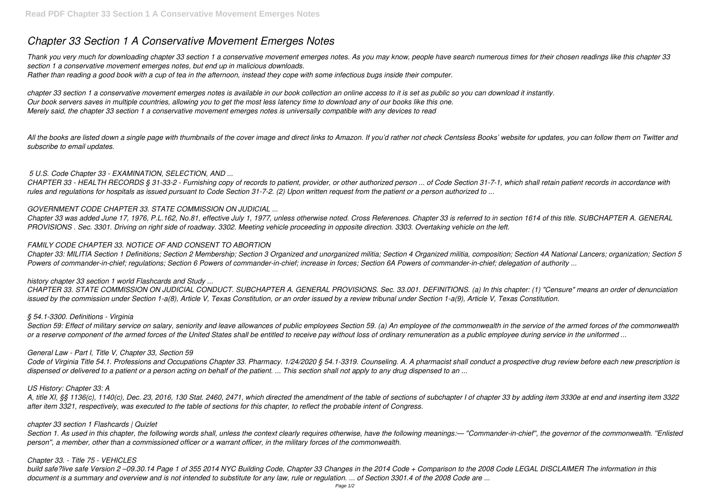# *Chapter 33 Section 1 A Conservative Movement Emerges Notes*

*Thank you very much for downloading chapter 33 section 1 a conservative movement emerges notes. As you may know, people have search numerous times for their chosen readings like this chapter 33 section 1 a conservative movement emerges notes, but end up in malicious downloads. Rather than reading a good book with a cup of tea in the afternoon, instead they cope with some infectious bugs inside their computer.*

All the books are listed down a single page with thumbnails of the cover image and direct links to Amazon. If you'd rather not check Centsless Books' website for updates, you can follow them on Twitter and *subscribe to email updates.*

*chapter 33 section 1 a conservative movement emerges notes is available in our book collection an online access to it is set as public so you can download it instantly. Our book servers saves in multiple countries, allowing you to get the most less latency time to download any of our books like this one. Merely said, the chapter 33 section 1 a conservative movement emerges notes is universally compatible with any devices to read*

## *5 U.S. Code Chapter 33 - EXAMINATION, SELECTION, AND ...*

*CHAPTER 33 - HEALTH RECORDS § 31-33-2 - Furnishing copy of records to patient, provider, or other authorized person ... of Code Section 31-7-1, which shall retain patient records in accordance with rules and regulations for hospitals as issued pursuant to Code Section 31-7-2. (2) Upon written request from the patient or a person authorized to ...*

## *GOVERNMENT CODE CHAPTER 33. STATE COMMISSION ON JUDICIAL ...*

*Section 59: Effect of military service on salary, seniority and leave allowances of public employees Section 59. (a) An employee of the commonwealth in the service of the armed forces of the commonwealth or a reserve component of the armed forces of the United States shall be entitled to receive pay without loss of ordinary remuneration as a public employee during service in the uniformed ...*

*Chapter 33 was added June 17, 1976, P.L.162, No.81, effective July 1, 1977, unless otherwise noted. Cross References. Chapter 33 is referred to in section 1614 of this title. SUBCHAPTER A. GENERAL PROVISIONS . Sec. 3301. Driving on right side of roadway. 3302. Meeting vehicle proceeding in opposite direction. 3303. Overtaking vehicle on the left.*

## *FAMILY CODE CHAPTER 33. NOTICE OF AND CONSENT TO ABORTION*

*Chapter 33: MILITIA Section 1 Definitions; Section 2 Membership; Section 3 Organized and unorganized militia; Section 4 Organized militia, composition; Section 4A National Lancers; organization; Section 5 Powers of commander-in-chief; regulations; Section 6 Powers of commander-in-chief; increase in forces; Section 6A Powers of commander-in-chief; delegation of authority ...*

## *history chapter 33 section 1 world Flashcards and Study ...*

*CHAPTER 33. STATE COMMISSION ON JUDICIAL CONDUCT. SUBCHAPTER A. GENERAL PROVISIONS. Sec. 33.001. DEFINITIONS. (a) In this chapter: (1) "Censure" means an order of denunciation issued by the commission under Section 1-a(8), Article V, Texas Constitution, or an order issued by a review tribunal under Section 1-a(9), Article V, Texas Constitution.*

## *§ 54.1-3300. Definitions - Virginia*

## *General Law - Part I, Title V, Chapter 33, Section 59*

*Code of Virginia Title 54.1. Professions and Occupations Chapter 33. Pharmacy. 1/24/2020 § 54.1-3319. Counseling. A. A pharmacist shall conduct a prospective drug review before each new prescription is dispensed or delivered to a patient or a person acting on behalf of the patient. ... This section shall not apply to any drug dispensed to an ...*

## *US History: Chapter 33: A*

*A, title XI, §§ 1136(c), 1140(c), Dec. 23, 2016, 130 Stat. 2460, 2471, which directed the amendment of the table of sections of subchapter I of chapter 33 by adding item 3330e at end and inserting item 3322 after item 3321, respectively, was executed to the table of sections for this chapter, to reflect the probable intent of Congress.*

## *chapter 33 section 1 Flashcards | Quizlet*

*Section 1. As used in this chapter, the following words shall, unless the context clearly requires otherwise, have the following meanings:— ''Commander-in-chief'', the governor of the commonwealth. ''Enlisted person'', a member, other than a commissioned officer or a warrant officer, in the military forces of the commonwealth.*

## *Chapter 33. - Title 75 - VEHICLES*

*build safe?live safe Version 2 –09.30.14 Page 1 of 355 2014 NYC Building Code, Chapter 33 Changes in the 2014 Code + Comparison to the 2008 Code LEGAL DISCLAIMER The information in this document is a summary and overview and is not intended to substitute for any law, rule or regulation. ... of Section 3301.4 of the 2008 Code are ...*